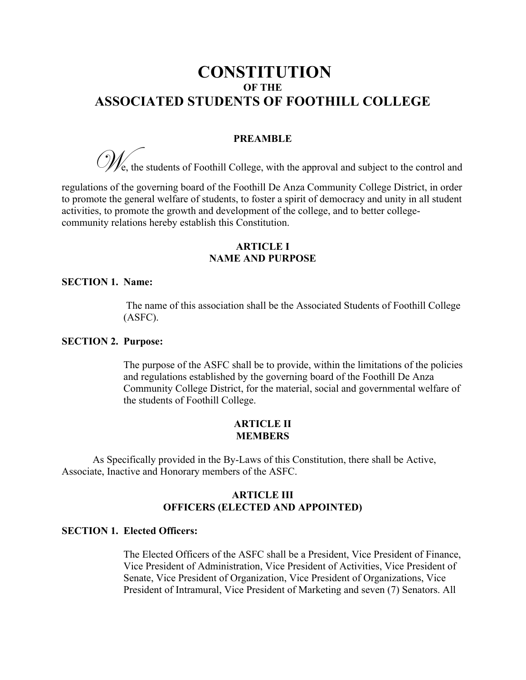# **CONSTITUTION OF THE ASSOCIATED STUDENTS OF FOOTHILL COLLEGE**

### **PREAMBLE**

 $\mathcal{W}_{\mathsf{e}}$ , the students of Foothill College, with the approval and subject to the control and

regulations of the governing board of the Foothill De Anza Community College District, in order to promote the general welfare of students, to foster a spirit of democracy and unity in all student activities, to promote the growth and development of the college, and to better collegecommunity relations hereby establish this Constitution.

# **ARTICLE I NAME AND PURPOSE**

### **SECTION 1. Name:**

The name of this association shall be the Associated Students of Foothill College (ASFC).

# **SECTION 2. Purpose:**

The purpose of the ASFC shall be to provide, within the limitations of the policies and regulations established by the governing board of the Foothill De Anza Community College District, for the material, social and governmental welfare of the students of Foothill College.

# **ARTICLE II MEMBERS**

As Specifically provided in the By-Laws of this Constitution, there shall be Active, Associate, Inactive and Honorary members of the ASFC.

# **ARTICLE III OFFICERS (ELECTED AND APPOINTED)**

# **SECTION 1. Elected Officers:**

The Elected Officers of the ASFC shall be a President, Vice President of Finance, Vice President of Administration, Vice President of Activities, Vice President of Senate, Vice President of Organization, Vice President of Organizations, Vice President of Intramural, Vice President of Marketing and seven (7) Senators. All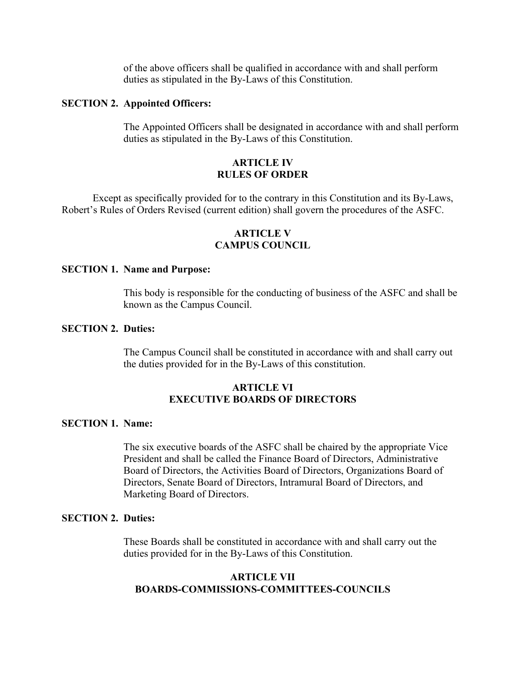of the above officers shall be qualified in accordance with and shall perform duties as stipulated in the By-Laws of this Constitution.

### **SECTION 2. Appointed Officers:**

The Appointed Officers shall be designated in accordance with and shall perform duties as stipulated in the By-Laws of this Constitution.

# **ARTICLE IV RULES OF ORDER**

Except as specifically provided for to the contrary in this Constitution and its By-Laws, Robert's Rules of Orders Revised (current edition) shall govern the procedures of the ASFC.

# **ARTICLE V CAMPUS COUNCIL**

### **SECTION 1. Name and Purpose:**

This body is responsible for the conducting of business of the ASFC and shall be known as the Campus Council.

# **SECTION 2. Duties:**

The Campus Council shall be constituted in accordance with and shall carry out the duties provided for in the By-Laws of this constitution.

# **ARTICLE VI EXECUTIVE BOARDS OF DIRECTORS**

### **SECTION 1. Name:**

The six executive boards of the ASFC shall be chaired by the appropriate Vice President and shall be called the Finance Board of Directors, Administrative Board of Directors, the Activities Board of Directors, Organizations Board of Directors, Senate Board of Directors, Intramural Board of Directors, and Marketing Board of Directors.

# **SECTION 2. Duties:**

These Boards shall be constituted in accordance with and shall carry out the duties provided for in the By-Laws of this Constitution.

# **ARTICLE VII BOARDS-COMMISSIONS-COMMITTEES-COUNCILS**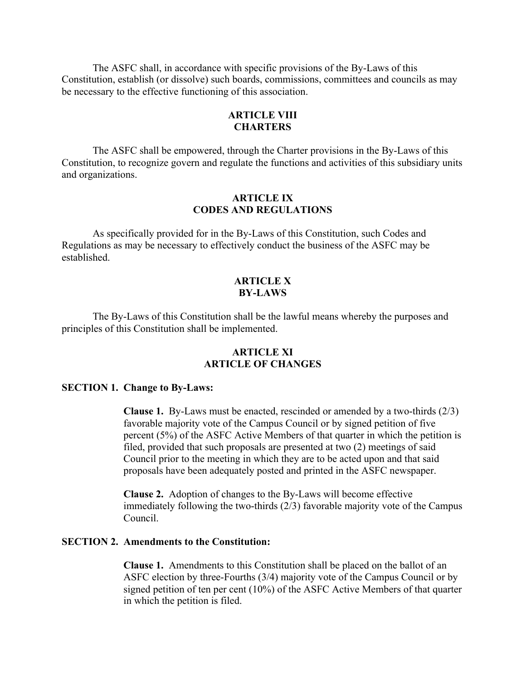The ASFC shall, in accordance with specific provisions of the By-Laws of this Constitution, establish (or dissolve) such boards, commissions, committees and councils as may be necessary to the effective functioning of this association.

# **ARTICLE VIII CHARTERS**

The ASFC shall be empowered, through the Charter provisions in the By-Laws of this Constitution, to recognize govern and regulate the functions and activities of this subsidiary units and organizations.

# **ARTICLE IX CODES AND REGULATIONS**

As specifically provided for in the By-Laws of this Constitution, such Codes and Regulations as may be necessary to effectively conduct the business of the ASFC may be established.

# **ARTICLE X BY-LAWS**

The By-Laws of this Constitution shall be the lawful means whereby the purposes and principles of this Constitution shall be implemented.

# **ARTICLE XI ARTICLE OF CHANGES**

### **SECTION 1. Change to By-Laws:**

**Clause 1.** By-Laws must be enacted, rescinded or amended by a two-thirds (2/3) favorable majority vote of the Campus Council or by signed petition of five percent (5%) of the ASFC Active Members of that quarter in which the petition is filed, provided that such proposals are presented at two (2) meetings of said Council prior to the meeting in which they are to be acted upon and that said proposals have been adequately posted and printed in the ASFC newspaper.

**Clause 2.** Adoption of changes to the By-Laws will become effective immediately following the two-thirds (2/3) favorable majority vote of the Campus Council.

### **SECTION 2. Amendments to the Constitution:**

**Clause 1.** Amendments to this Constitution shall be placed on the ballot of an ASFC election by three-Fourths (3/4) majority vote of the Campus Council or by signed petition of ten per cent (10%) of the ASFC Active Members of that quarter in which the petition is filed.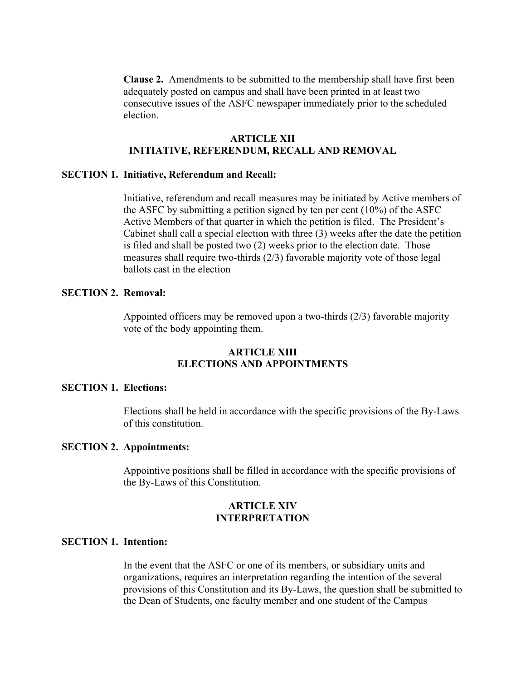**Clause 2.** Amendments to be submitted to the membership shall have first been adequately posted on campus and shall have been printed in at least two consecutive issues of the ASFC newspaper immediately prior to the scheduled election.

# **ARTICLE XII INITIATIVE, REFERENDUM, RECALL AND REMOVAL**

# **SECTION 1. Initiative, Referendum and Recall:**

Initiative, referendum and recall measures may be initiated by Active members of the ASFC by submitting a petition signed by ten per cent (10%) of the ASFC Active Members of that quarter in which the petition is filed. The President's Cabinet shall call a special election with three (3) weeks after the date the petition is filed and shall be posted two (2) weeks prior to the election date. Those measures shall require two-thirds (2/3) favorable majority vote of those legal ballots cast in the election

# **SECTION 2. Removal:**

Appointed officers may be removed upon a two-thirds (2/3) favorable majority vote of the body appointing them.

# **ARTICLE XIII ELECTIONS AND APPOINTMENTS**

# **SECTION 1. Elections:**

Elections shall be held in accordance with the specific provisions of the By-Laws of this constitution.

#### **SECTION 2. Appointments:**

Appointive positions shall be filled in accordance with the specific provisions of the By-Laws of this Constitution.

# **ARTICLE XIV INTERPRETATION**

### **SECTION 1. Intention:**

In the event that the ASFC or one of its members, or subsidiary units and organizations, requires an interpretation regarding the intention of the several provisions of this Constitution and its By-Laws, the question shall be submitted to the Dean of Students, one faculty member and one student of the Campus